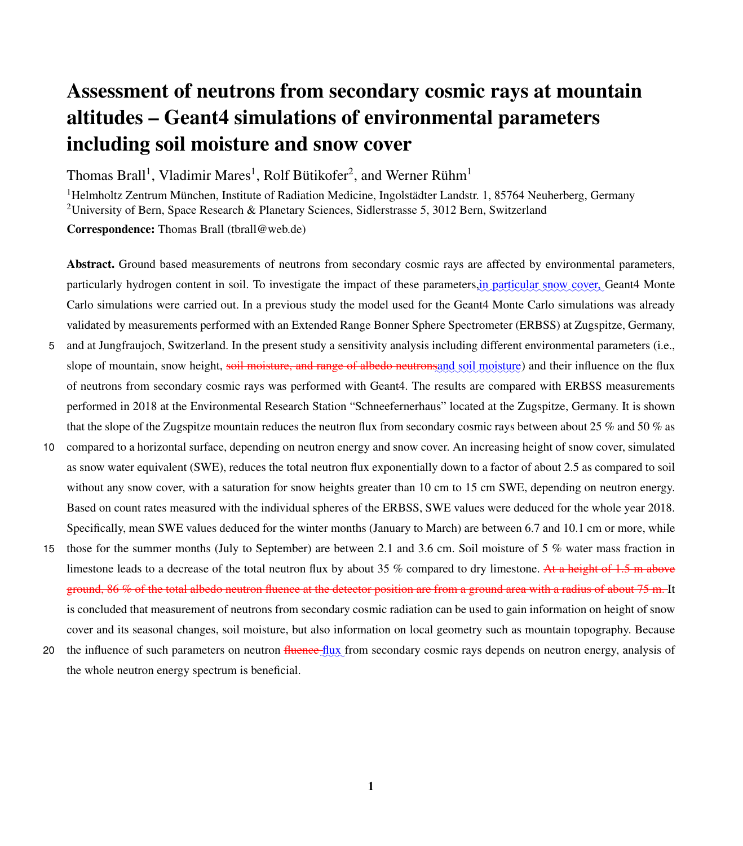# Assessment of neutrons from secondary cosmic rays at mountain altitudes – Geant4 simulations of environmental parameters including soil moisture and snow cover

Thomas Brall<sup>1</sup>, Vladimir Mares<sup>1</sup>, Rolf Bütikofer<sup>2</sup>, and Werner Rühm<sup>1</sup>

<sup>1</sup>Helmholtz Zentrum München, Institute of Radiation Medicine, Ingolstädter Landstr. 1, 85764 Neuherberg, Germany <sup>2</sup>University of Bern, Space Research & Planetary Sciences, Sidlerstrasse 5, 3012 Bern, Switzerland Correspondence: Thomas Brall (tbrall@web.de)

Abstract. Ground based measurements of neutrons from secondary cosmic rays are affected by environmental parameters, particularly hydrogen content in soil. To investigate the impact of these parameters, in particular snow cover, Geant4 Monte Carlo simulations were carried out. In a previous study the model used for the Geant4 Monte Carlo simulations was already validated by measurements performed with an Extended Range Bonner Sphere Spectrometer (ERBSS) at Zugspitze, Germany,

- 5 and at Jungfraujoch, Switzerland. In the present study a sensitivity analysis including different environmental parameters (i.e., slope of mountain, snow height, soil moisture, and range of albedo neutronsand soil moisture) and their influence on the flux of neutrons from secondary cosmic rays was performed with Geant4. The results are compared with ERBSS measurements performed in 2018 at the Environmental Research Station "Schneefernerhaus" located at the Zugspitze, Germany. It is shown that the slope of the Zugspitze mountain reduces the neutron flux from secondary cosmic rays between about 25 % and 50 % as
- 10 compared to a horizontal surface, depending on neutron energy and snow cover. An increasing height of snow cover, simulated as snow water equivalent (SWE), reduces the total neutron flux exponentially down to a factor of about 2.5 as compared to soil without any snow cover, with a saturation for snow heights greater than 10 cm to 15 cm SWE, depending on neutron energy. Based on count rates measured with the individual spheres of the ERBSS, SWE values were deduced for the whole year 2018. Specifically, mean SWE values deduced for the winter months (January to March) are between 6.7 and 10.1 cm or more, while
- 15 those for the summer months (July to September) are between 2.1 and 3.6 cm. Soil moisture of 5 % water mass fraction in limestone leads to a decrease of the total neutron flux by about 35 % compared to dry limestone. At a height of 1.5 m above ground, 86 % of the total albedo neutron fluence at the detector position are from a ground area with a radius of about 75 m. It is concluded that measurement of neutrons from secondary cosmic radiation can be used to gain information on height of snow cover and its seasonal changes, soil moisture, but also information on local geometry such as mountain topography. Because
- 20 the influence of such parameters on neutron fluence flux from secondary cosmic rays depends on neutron energy, analysis of the whole neutron energy spectrum is beneficial.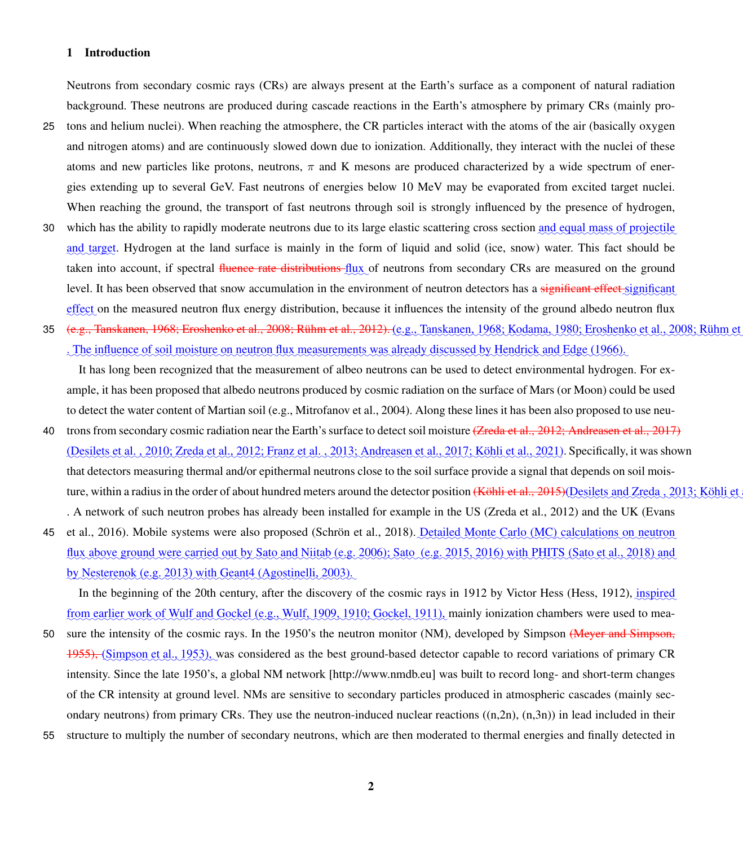# 1 Introduction

Neutrons from secondary cosmic rays (CRs) are always present at the Earth's surface as a component of natural radiation background. These neutrons are produced during cascade reactions in the Earth's atmosphere by primary CRs (mainly pro-

- 25 tons and helium nuclei). When reaching the atmosphere, the CR particles interact with the atoms of the air (basically oxygen and nitrogen atoms) and are continuously slowed down due to ionization. Additionally, they interact with the nuclei of these atoms and new particles like protons, neutrons,  $\pi$  and K mesons are produced characterized by a wide spectrum of energies extending up to several GeV. Fast neutrons of energies below 10 MeV may be evaporated from excited target nuclei. When reaching the ground, the transport of fast neutrons through soil is strongly influenced by the presence of hydrogen,
- 30 which has the ability to rapidly moderate neutrons due to its large elastic scattering cross section and equal mass of projectile and target. Hydrogen at the land surface is mainly in the form of liquid and solid (ice, snow) water. This fact should be taken into account, if spectral <del>fluence rate distributions f</del>lux of neutrons from secondary CRs are measured on the ground level. It has been observed that snow accumulation in the environment of neutron detectors has a significant effect significant effect on the measured neutron flux energy distribution, because it influences the intensity of the ground albedo neutron flux
- 35 (e.<del>g., [Tanskanen, 1968;](#page-19-0) [Eroshenko et al., 2008;](#page-17-0) [Rühm et al., 2012\)](#page-18-0).</del> (e.g., Tanskanen, 1968; [Kodama, 1980;](#page-17-1) Eroshenko et al., 2008; Rühm et al., 2008; Rühm et al., 2008; Rühm et al., 2008; Rühm et al., 2008; Rühm et al. . The influence of soil moisture on neutron flux measurements was already discussed by [Hendrick and Edge](#page-17-2) [\(1966\)](#page-17-2).

It has long been recognized that the measurement of albeo neutrons can be used to detect environmental hydrogen. For example, it has been proposed that albedo neutrons produced by cosmic radiation on the surface of Mars (or Moon) could be used to detect the water content of Martian soil (e.g., [Mitrofanov et al., 2004\)](#page-18-1). Along these lines it has been also proposed to use neu-

- 40 trons from secondary cosmic radiation near the Earth's surface to detect soil moisture [\(Zreda et al., 2012;](#page-19-1) [Andreasen et al., 2017\)](#page-17-3) (Desilets et al., 2010; [Zreda et al., 2012;](#page-19-1) Franz et al., 2013; [Andreasen et al., 2017;](#page-17-3) [Köhli et al., 2021\)](#page-18-2). Specifically, it was shown that detectors measuring thermal and/or epithermal neutrons close to the soil surface provide a signal that depends on soil mois-ture, within a radius in the order of about hundred meters around the detector position <del>[\(Köhli et al., 2015\)](#page-18-3)</del> [\(Desilets and Zreda , 2013;](#page-17-6) [Köhli et al., 2015\)](#page-18-3) exiletion of Zreda , 2013; Köhli et al., 2015) and Zreda , 2013 [.](#page-17-7) A network of such neutron probes has already been installed for example in the US [\(Zreda et al., 2012\)](#page-19-1) and the UK [\(Evans](#page-17-7)
- 45 [et al., 2016\)](#page-17-7). Mobile systems were also proposed [\(Schrön et al., 2018\)](#page-19-2). <u>Detailed Monte Carlo (MC) calculations on neutron</u> flux above ground were carried out by [Sato and Niitab](#page-18-4) (e.g. [2006\)](#page-18-4); [Sato](#page-18-5) (e.g. [2015,](#page-18-5) [2016\)](#page-18-6) with PHITS [\(Sato et al., 2018\)](#page-18-7) and by [Nesterenok](#page-18-8) (e.g. [2013\)](#page-18-8) with Geant4 [\(Agostinelli, 2003\)](#page-17-8).

In the beginning of the 20th century, after the discovery of the cosmic rays in 1912 by Victor Hess [\(Hess, 1912\)](#page-17-9), *inspired* from earlier work of Wulf and Gockel (e.g., [Wulf, 1909,](#page-19-3) [1910;](#page-19-4) [Gockel, 1911\)](#page-17-10), mainly ionization chambers were used to mea-

- 50 sure the intensity of the cosmic rays. In the 1950's the neutron monitor (NM), developed by Simpson (Meyer and Simpson, 1955), [\(Simpson et al., 1953\)](#page-19-5), was considered as the best ground-based detector capable to record variations of primary CR intensity. Since the late 1950's, a global NM network [http://www.nmdb.eu] was built to record long- and short-term changes of the CR intensity at ground level. NMs are sensitive to secondary particles produced in atmospheric cascades (mainly secondary neutrons) from primary CRs. They use the neutron-induced nuclear reactions  $((n,2n), (n,3n))$  in lead included in their
- 55 structure to multiply the number of secondary neutrons, which are then moderated to thermal energies and finally detected in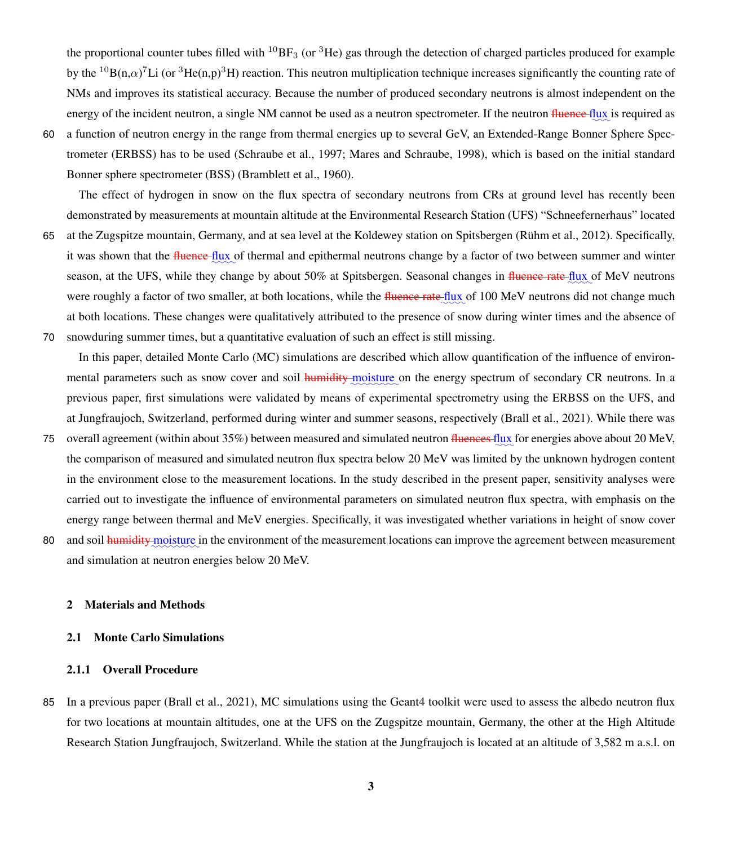the proportional counter tubes filled with  ${}^{10}BF_3$  (or  ${}^{3}He$ ) gas through the detection of charged particles produced for example by the  ${}^{10}B(n,\alpha)^7Li$  (or  ${}^{3}He(n,p){}^{3}H$ ) reaction. This neutron multiplication technique increases significantly the counting rate of NMs and improves its statistical accuracy. Because the number of produced secondary neutrons is almost independent on the energy of the incident neutron, a single NM cannot be used as a neutron spectrometer. If the neutron fluence flux is required as

60 a function of neutron energy in the range from thermal energies up to several GeV, an Extended-Range Bonner Sphere Spectrometer (ERBSS) has to be used [\(Schraube et al., 1997;](#page-18-9) [Mares and Schraube, 1998\)](#page-18-10), which is based on the initial standard Bonner sphere spectrometer (BSS) [\(Bramblett et al., 1960\)](#page-17-11).

The effect of hydrogen in snow on the flux spectra of secondary neutrons from CRs at ground level has recently been demonstrated by measurements at mountain altitude at the Environmental Research Station (UFS) "Schneefernerhaus" located

- 65 at the Zugspitze mountain, Germany, and at sea level at the Koldewey station on Spitsbergen [\(Rühm et al., 2012\)](#page-18-0). Specifically, it was shown that the fluence flux of thermal and epithermal neutrons change by a factor of two between summer and winter season, at the UFS, while they change by about 50% at Spitsbergen. Seasonal changes in <del>fluence rate flux</del> of MeV neutrons were roughly a factor of two smaller, at both locations, while the <del>fluence rate fl</del>ux of 100 MeV neutrons did not change much at both locations. These changes were qualitatively attributed to the presence of snow during winter times and the absence of 70 snowduring summer times, but a quantitative evaluation of such an effect is still missing.
	- In this paper, detailed Monte Carlo (MC) simulations are described which allow quantification of the influence of environmental parameters such as snow cover and soil **humidity** moisture on the energy spectrum of secondary CR neutrons. In a previous paper, first simulations were validated by means of experimental spectrometry using the ERBSS on the UFS, and at Jungfraujoch, Switzerland, performed during winter and summer seasons, respectively [\(Brall et al., 2021\)](#page-17-12). While there was
- 75 overall agreement (within about 35%) between measured and simulated neutron <del>fluences flux</del> for energies above about 20 MeV, the comparison of measured and simulated neutron flux spectra below 20 MeV was limited by the unknown hydrogen content in the environment close to the measurement locations. In the study described in the present paper, sensitivity analyses were carried out to investigate the influence of environmental parameters on simulated neutron flux spectra, with emphasis on the energy range between thermal and MeV energies. Specifically, it was investigated whether variations in height of snow cover
- 80 and soil *humidity* moisture in the environment of the measurement locations can improve the agreement between measurement and simulation at neutron energies below 20 MeV.

# 2 Materials and Methods

# 2.1 Monte Carlo Simulations

#### 2.1.1 Overall Procedure

85 In a previous paper [\(Brall et al., 2021\)](#page-17-12), MC simulations using the Geant4 toolkit were used to assess the albedo neutron flux for two locations at mountain altitudes, one at the UFS on the Zugspitze mountain, Germany, the other at the High Altitude Research Station Jungfraujoch, Switzerland. While the station at the Jungfraujoch is located at an altitude of 3,582 m a.s.l. on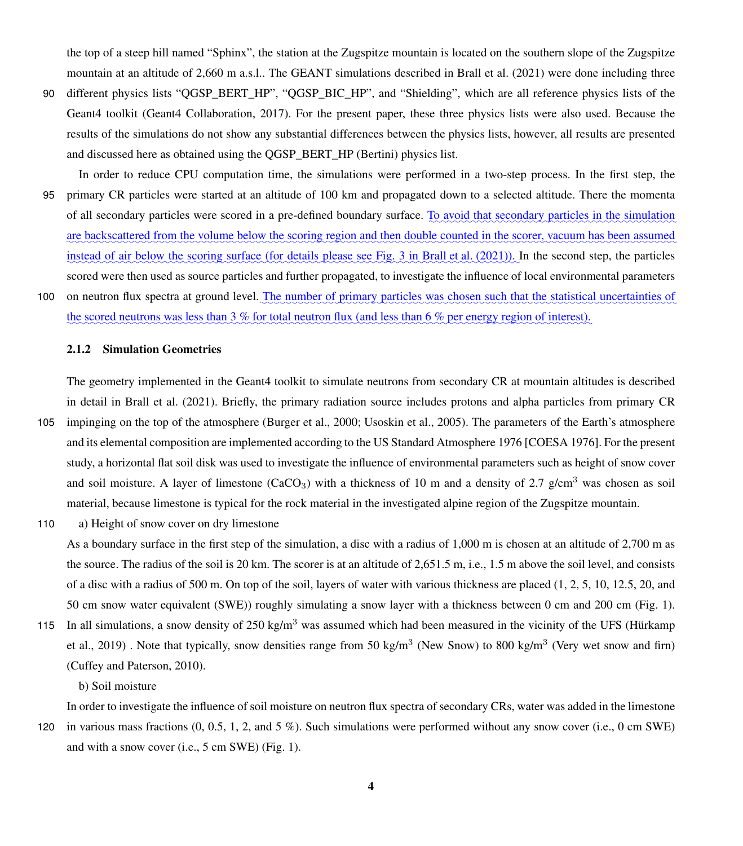the top of a steep hill named "Sphinx", the station at the Zugspitze mountain is located on the southern slope of the Zugspitze mountain at an altitude of 2,660 m a.s.l.. The GEANT simulations described in [Brall et al.](#page-17-12) [\(2021\)](#page-17-12) were done including three

- 90 different physics lists "OGSP\_BERT\_HP", "OGSP\_BIC\_HP", and "Shielding", which are all reference physics lists of the Geant4 toolkit [\(Geant4 Collaboration, 2017\)](#page-17-13). For the present paper, these three physics lists were also used. Because the results of the simulations do not show any substantial differences between the physics lists, however, all results are presented and discussed here as obtained using the QGSP\_BERT\_HP (Bertini) physics list.
- In order to reduce CPU computation time, the simulations were performed in a two-step process. In the first step, the 95 primary CR particles were started at an altitude of 100 km and propagated down to a selected altitude. There the momenta of all secondary particles were scored in a pre-defined boundary surface. To avoid that secondary particles in the simulation are backscattered from the volume below the scoring region and then double counted in the scorer, vacuum has been assumed instead of air below the scoring surface (for details please see Fig. 3 in [Brall et al.](#page-17-12) [\(2021\)](#page-17-12)). In the second step, the particles scored were then used as source particles and further propagated, to investigate the influence of local environmental parameters
- 100 on neutron flux spectra at ground level. The number of primary particles was chosen such that the statistical uncertainties of the scored neutrons was less than 3 % for total neutron flux (and less than 6 % per energy region of interest).

# 2.1.2 Simulation Geometries

The geometry implemented in the Geant4 toolkit to simulate neutrons from secondary CR at mountain altitudes is described in detail in [Brall et al.](#page-17-12) [\(2021\)](#page-17-12). Briefly, the primary radiation source includes protons and alpha particles from primary CR

- 105 impinging on the top of the atmosphere [\(Burger et al., 2000;](#page-17-14) [Usoskin et al., 2005\)](#page-19-6). The parameters of the Earth's atmosphere and its elemental composition are implemented according to the US Standard Atmosphere 1976 [COESA 1976]. For the present study, a horizontal flat soil disk was used to investigate the influence of environmental parameters such as height of snow cover and soil moisture. A layer of limestone (CaCO<sub>3</sub>) with a thickness of 10 m and a density of 2.7 g/cm<sup>3</sup> was chosen as soil material, because limestone is typical for the rock material in the investigated alpine region of the Zugspitze mountain.
- 110 a) Height of snow cover on dry limestone

As a boundary surface in the first step of the simulation, a disc with a radius of 1,000 m is chosen at an altitude of 2,700 m as the source. The radius of the soil is 20 km. The scorer is at an altitude of 2,651.5 m, i.e., 1.5 m above the soil level, and consists of a disc with a radius of 500 m. On top of the soil, layers of water with various thickness are placed (1, 2, 5, 10, 12.5, 20, and 50 cm snow water equivalent (SWE)) roughly simulating a snow layer with a thickness between 0 cm and 200 cm (Fig. [1\)](#page-4-0).

115 [I](#page-17-15)n all simulations, a snow density of  $250 \text{ kg/m}^3$  was assumed which had been measured in the vicinity of the UFS [\(Hürkamp](#page-17-15) [et al., 2019\)](#page-17-15). Note that typically, snow densities range from 50 kg/m<sup>3</sup> (New Snow) to 800 kg/m<sup>3</sup> (Very wet snow and firn) [\(Cuffey and Paterson, 2010\)](#page-17-16).

b) Soil moisture

In order to investigate the influence of soil moisture on neutron flux spectra of secondary CRs, water was added in the limestone

120 in various mass fractions (0, 0.5, 1, 2, and 5 %). Such simulations were performed without any snow cover (i.e., 0 cm SWE) and with a snow cover (i.e., 5 cm SWE) (Fig. [1\)](#page-4-0).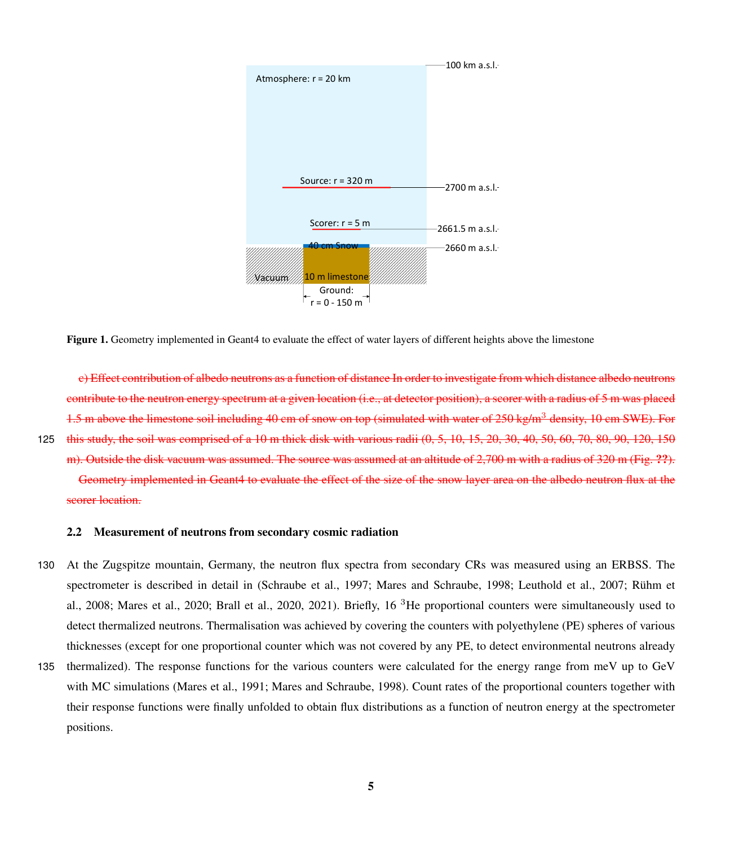<span id="page-4-0"></span>

Figure 1. Geometry implemented in Geant4 to evaluate the effect of water layers of different heights above the limestone

c) Effect contribution of albedo neutrons as a function of distance In order to investigate from which distance albedo neutrons contribute to the neutron energy spectrum at a given location (i.e., at detector position), a scorer with a radius of 5 m was placed 1.5 m above the limestone soil including 40 cm of snow on top (simulated with water of 250 kg/m<sup>3</sup> density, 10 cm SWE). For 125 this study, the soil was comprised of a 10 m thick disk with various radii (0, 5, 10, 15, 20, 30, 40, 50, 60, 70, 80, 90, 120, 150 m). Outside the disk vacuum was assumed. The source was assumed at an altitude of 2,700 m with a radius of 320 m (Fig. ??). Geometry implemented in Geant4 to evaluate the effect of the size of the snow layer area on the albedo neutron flux at the

scorer location.

## 2.2 Measurement of neutrons from secondary cosmic radiation

- 130 At the Zugspitze mountain, Germany, the neutron flux spectra from secondary CRs was measured using an ERBSS. The [s](#page-18-12)pectrometer is described in detail in [\(Schraube et al., 1997;](#page-18-9) [Mares and Schraube, 1998;](#page-18-10) [Leuthold et al., 2007;](#page-18-11) [Rühm et](#page-18-12) [al., 2008;](#page-18-12) [Mares et al., 2020;](#page-18-13) [Brall et al., 2020,](#page-17-17) [2021\)](#page-17-12). Briefly, 16 <sup>3</sup>He proportional counters were simultaneously used to detect thermalized neutrons. Thermalisation was achieved by covering the counters with polyethylene (PE) spheres of various thicknesses (except for one proportional counter which was not covered by any PE, to detect environmental neutrons already
- 135 thermalized). The response functions for the various counters were calculated for the energy range from meV up to GeV with MC simulations [\(Mares et al., 1991;](#page-18-14) [Mares and Schraube, 1998\)](#page-18-10). Count rates of the proportional counters together with their response functions were finally unfolded to obtain flux distributions as a function of neutron energy at the spectrometer positions.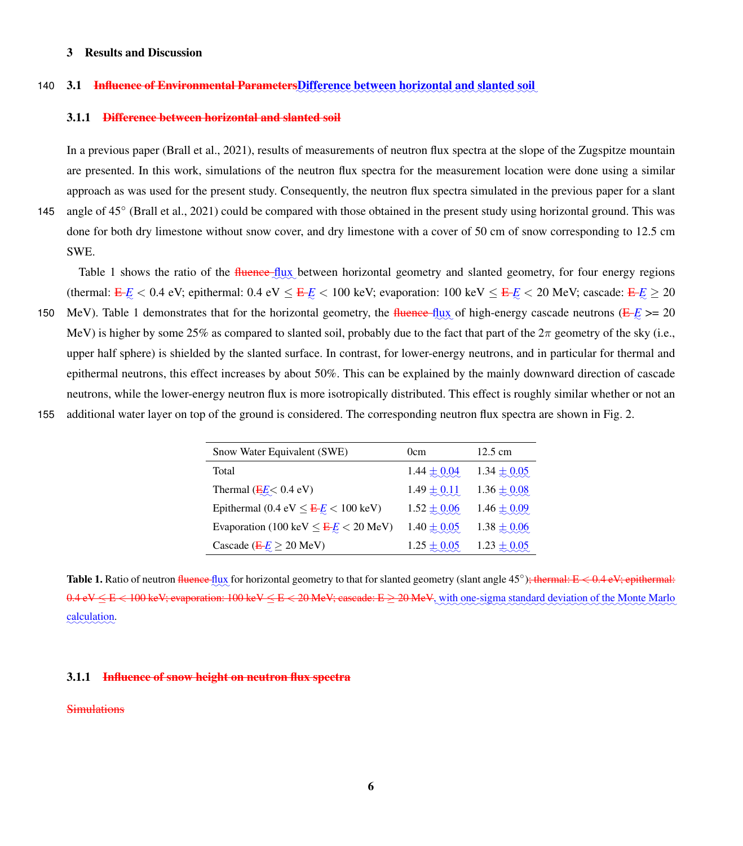# 3 Results and Discussion

# 140 **3.1** Influence of Environmental ParametersDifference between horizontal and slanted soil

#### 3.1.1 Difference between horizontal and slanted soil

In a previous paper [\(Brall et al., 2021\)](#page-17-12), results of measurements of neutron flux spectra at the slope of the Zugspitze mountain are presented. In this work, simulations of the neutron flux spectra for the measurement location were done using a similar approach as was used for the present study. Consequently, the neutron flux spectra simulated in the previous paper for a slant

145 angle of 45° [\(Brall et al., 2021\)](#page-17-12) could be compared with those obtained in the present study using horizontal ground. This was done for both dry limestone without snow cover, and dry limestone with a cover of 50 cm of snow corresponding to 12.5 cm SWE.

Table [1](#page-5-0) shows the ratio of the fluence flux between horizontal geometry and slanted geometry, for four energy regions (thermal:  $E\ll 0.4$  eV; epithermal:  $0.4$  eV  $\leq E\ll 100$  keV; evaporation:  $100$  keV  $\leq E\ll 20$  MeV; cascade:  $E\ll 20$ 

150 MeV). Table [1](#page-5-0) demonstrates that for the horizontal geometry, the fluence-flux of high-energy cascade neutrons  $(E - E \ge 20$ MeV) is higher by some 25% as compared to slanted soil, probably due to the fact that part of the  $2\pi$  geometry of the sky (i.e., upper half sphere) is shielded by the slanted surface. In contrast, for lower-energy neutrons, and in particular for thermal and epithermal neutrons, this effect increases by about 50%. This can be explained by the mainly downward direction of cascade neutrons, while the lower-energy neutron flux is more isotropically distributed. This effect is roughly similar whether or not an

<span id="page-5-0"></span>155 additional water layer on top of the ground is considered. The corresponding neutron flux spectra are shown in Fig. [2.](#page-6-0)

| Snow Water Equivalent (SWE)                                  | 0cm             | $12.5 \text{ cm}$ |
|--------------------------------------------------------------|-----------------|-------------------|
| Total                                                        | $1.44 \pm 0.04$ | $1.34 \pm 0.05$   |
| Thermal $(EE< 0.4$ eV)                                       | $1.49 \pm 0.11$ | $1.36 \pm 0.08$   |
| Epithermal (0.4 eV $\leq \frac{E}{E} \leq 100 \text{ keV}$ ) | $1.52 \pm 0.06$ | $1.46 \pm 0.09$   |
| Evaporation (100 keV $\leq \frac{E}{E} \leq 20$ MeV)         | $1.40 \pm 0.05$ | $1.38 \pm 0.06$   |
| Cascade ( $E/E \ge 20$ MeV)                                  | $1.25 \pm 0.05$ | $1.23 \pm 0.05$   |

Table 1. Ratio of neutron fluence flux for horizontal geometry to that for slanted geometry (slant angle 45°); thermal: E < 0.4 eV; epithermal:  $0.4 \text{ eV} \leq E < 100 \text{ keV}$ ; evaporation:  $100 \text{ keV} \leq E < 20 \text{ MeV}$ ; cascade:  $E \geq 20 \text{ MeV}$ , with one-sigma standard deviation of the Monte Marlo ✿✿✿✿✿✿✿✿ calculation.

# 3.1.1 Influence of snow height on neutron flux spectra

# **Simulations**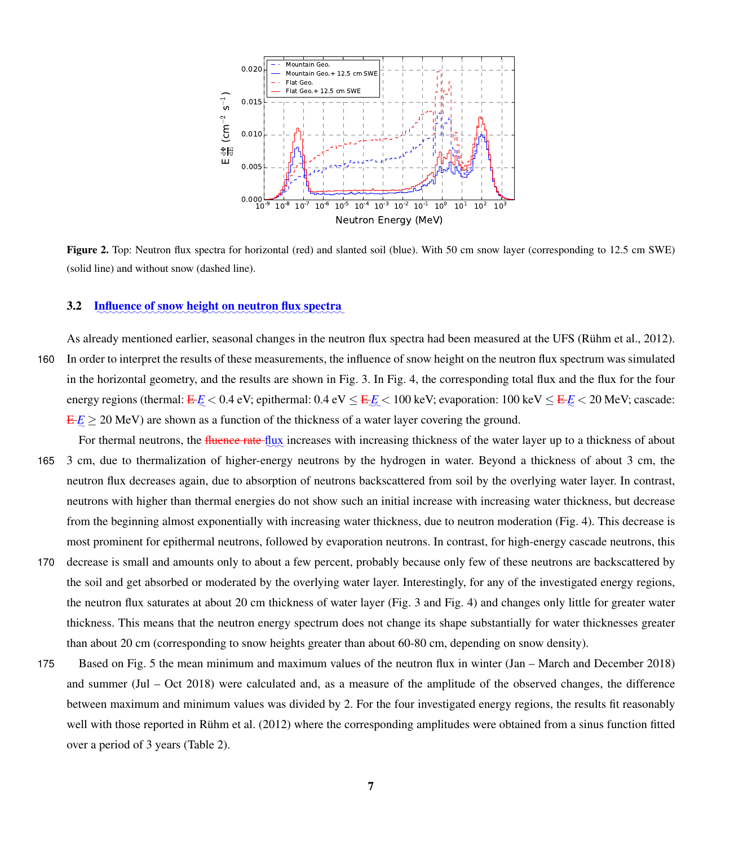<span id="page-6-0"></span>

Figure 2. Top: Neutron flux spectra for horizontal (red) and slanted soil (blue). With 50 cm snow layer (corresponding to 12.5 cm SWE) (solid line) and without snow (dashed line).

# 3.2 Influence of snow height on neutron flux spectra

- As already mentioned earlier, seasonal changes in the neutron flux spectra had been measured at the UFS [\(Rühm et al., 2012\)](#page-18-0). 160 In order to interpret the results of these measurements, the influence of snow height on the neutron flux spectrum was simulated in the horizontal geometry, and the results are shown in Fig. [3.](#page-7-0) In Fig. [4,](#page-7-1) the corresponding total flux and the flux for the four energy regions (thermal: <del>E </del>*E* < 0.4 eV; epithermal: 0.4 eV ≤ <del>E </del>*E* < 100 keV; evaporation: 100 keV ≤ <del>E </del>*E* < 20 MeV; cascade:  $E/E \ge 20$  MeV) are shown as a function of the thickness of a water layer covering the ground.
- For thermal neutrons, the *fluence rate* flux increases with increasing thickness of the water layer up to a thickness of about 165 3 cm, due to thermalization of higher-energy neutrons by the hydrogen in water. Beyond a thickness of about 3 cm, the neutron flux decreases again, due to absorption of neutrons backscattered from soil by the overlying water layer. In contrast, neutrons with higher than thermal energies do not show such an initial increase with increasing water thickness, but decrease from the beginning almost exponentially with increasing water thickness, due to neutron moderation (Fig. [4\)](#page-7-1). This decrease is most prominent for epithermal neutrons, followed by evaporation neutrons. In contrast, for high-energy cascade neutrons, this
- 170 decrease is small and amounts only to about a few percent, probably because only few of these neutrons are backscattered by the soil and get absorbed or moderated by the overlying water layer. Interestingly, for any of the investigated energy regions, the neutron flux saturates at about 20 cm thickness of water layer (Fig. [3](#page-7-0) and Fig. [4\)](#page-7-1) and changes only little for greater water thickness. This means that the neutron energy spectrum does not change its shape substantially for water thicknesses greater than about 20 cm (corresponding to snow heights greater than about 60-80 cm, depending on snow density).
- 175 Based on Fig. [5](#page-8-0) the mean minimum and maximum values of the neutron flux in winter (Jan March and December 2018) and summer (Jul – Oct 2018) were calculated and, as a measure of the amplitude of the observed changes, the difference between maximum and minimum values was divided by 2. For the four investigated energy regions, the results fit reasonably well with those reported in [Rühm et al.](#page-18-0) [\(2012\)](#page-18-0) where the corresponding amplitudes were obtained from a sinus function fitted over a period of 3 years (Table [2\)](#page-8-1).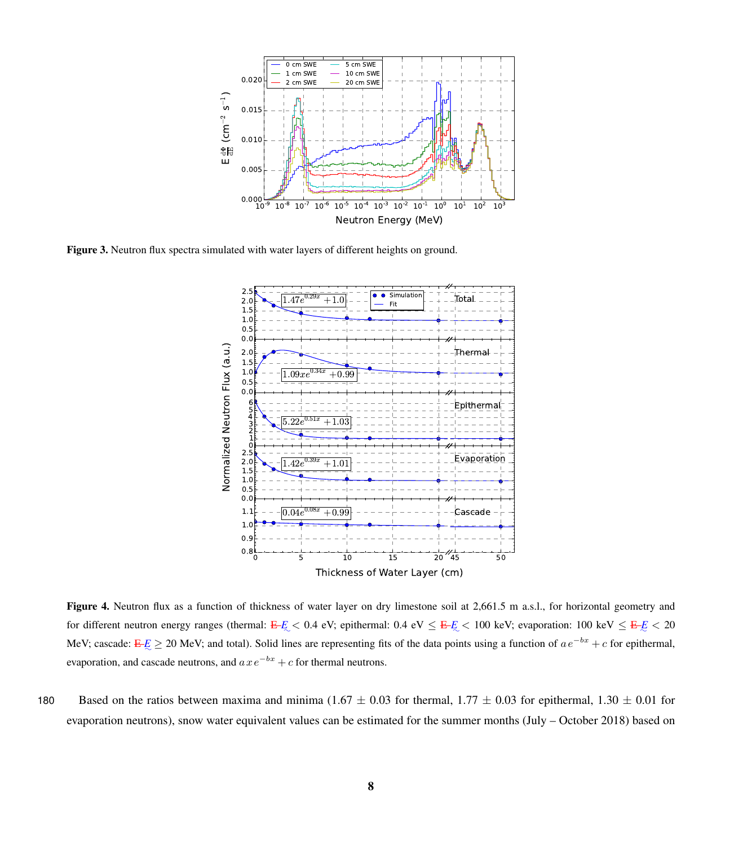<span id="page-7-0"></span>

<span id="page-7-1"></span>Figure 3. Neutron flux spectra simulated with water layers of different heights on ground.



Thickness of Water Layer (cm)

Figure 4. Neutron flux as a function of thickness of water layer on dry limestone soil at 2,661.5 m a.s.l., for horizontal geometry and for different neutron energy ranges (thermal:  $E-E < 0.4$  eV; epithermal:  $0.4$  eV  $\leq E-E < 100$  keV; evaporation:  $100$  keV  $\leq E-E < 20$ MeV; cascade: <del>E</del><sub>∠</sub> ≥ 20 MeV; and total). Solid lines are representing fits of the data points using a function of  $ae^{-bx} + c$  for epithermal, evaporation, and cascade neutrons, and  $axe^{-bx} + c$  for thermal neutrons.

180 Based on the ratios between maxima and minima (1.67  $\pm$  0.03 for thermal, 1.77  $\pm$  0.03 for epithermal, 1.30  $\pm$  0.01 for evaporation neutrons), snow water equivalent values can be estimated for the summer months (July – October 2018) based on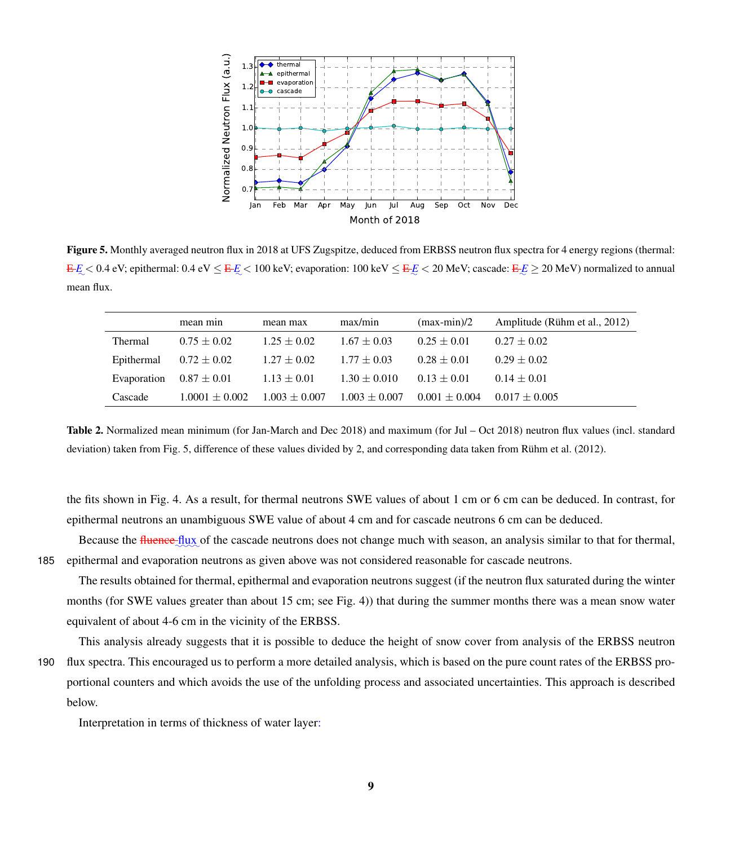<span id="page-8-0"></span>

Figure 5. Monthly averaged neutron flux in 2018 at UFS Zugspitze, deduced from ERBSS neutron flux spectra for 4 energy regions (thermal:  $E_{\rm max} < 0.4$  eV; epithermal:  $0.4$  eV  $\leq$   $E_{\rm max} < 100$  keV; evaporation:  $100$  keV  $\leq$   $E_{\rm max} < 20$  MeV; cascade:  $E_{\rm max} \geq 20$  MeV) normalized to annual mean flux.

<span id="page-8-1"></span>

| mean min           | mean max          | max/min           | $(max-min)/2$     | Amplitude (Rühm et al., 2012) |
|--------------------|-------------------|-------------------|-------------------|-------------------------------|
| $0.75 + 0.02$      | $1.25 + 0.02$     | $1.67 + 0.03$     | $0.25 + 0.01$     | $0.27 + 0.02$                 |
| $0.72 \pm 0.02$    | $1.27 + 0.02$     | $1.77 + 0.03$     | $0.28 + 0.01$     | $0.29 + 0.02$                 |
| $0.87 \pm 0.01$    | $1.13 \pm 0.01$   | $1.30 + 0.010$    | $0.13 + 0.01$     | $0.14 + 0.01$                 |
| $1.0001 \pm 0.002$ | $1.003 \pm 0.007$ | $1.003 \pm 0.007$ | $0.001 \pm 0.004$ | $0.017 + 0.005$               |
|                    |                   |                   |                   |                               |

Table 2. Normalized mean minimum (for Jan-March and Dec 2018) and maximum (for Jul – Oct 2018) neutron flux values (incl. standard deviation) taken from Fig. [5,](#page-8-0) difference of these values divided by 2, and corresponding data taken from [Rühm et al.](#page-18-0) [\(2012\)](#page-18-0).

the fits shown in Fig. [4.](#page-7-1) As a result, for thermal neutrons SWE values of about 1 cm or 6 cm can be deduced. In contrast, for epithermal neutrons an unambiguous SWE value of about 4 cm and for cascade neutrons 6 cm can be deduced.

Because the fluence flux of the cascade neutrons does not change much with season, an analysis similar to that for thermal, 185 epithermal and evaporation neutrons as given above was not considered reasonable for cascade neutrons.

The results obtained for thermal, epithermal and evaporation neutrons suggest (if the neutron flux saturated during the winter months (for SWE values greater than about 15 cm; see Fig. [4\)](#page-7-1)) that during the summer months there was a mean snow water equivalent of about 4-6 cm in the vicinity of the ERBSS.

This analysis already suggests that it is possible to deduce the height of snow cover from analysis of the ERBSS neutron 190 flux spectra. This encouraged us to perform a more detailed analysis, which is based on the pure count rates of the ERBSS proportional counters and which avoids the use of the unfolding process and associated uncertainties. This approach is described below.

Interpretation in terms of thickness of water layer: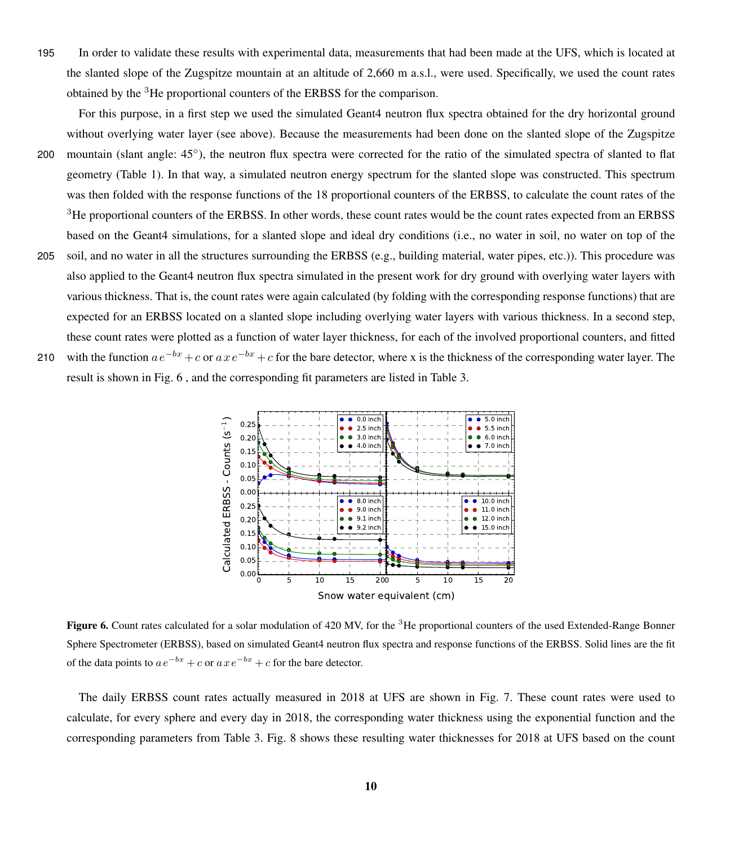- 195 In order to validate these results with experimental data, measurements that had been made at the UFS, which is located at the slanted slope of the Zugspitze mountain at an altitude of 2,660 m a.s.l., were used. Specifically, we used the count rates obtained by the <sup>3</sup>He proportional counters of the ERBSS for the comparison.
- For this purpose, in a first step we used the simulated Geant4 neutron flux spectra obtained for the dry horizontal ground without overlying water layer (see above). Because the measurements had been done on the slanted slope of the Zugspitze 200 mountain (slant angle: 45°), the neutron flux spectra were corrected for the ratio of the simulated spectra of slanted to flat geometry (Table [1\)](#page-5-0). In that way, a simulated neutron energy spectrum for the slanted slope was constructed. This spectrum was then folded with the response functions of the 18 proportional counters of the ERBSS, to calculate the count rates of the <sup>3</sup>He proportional counters of the ERBSS. In other words, these count rates would be the count rates expected from an ERBSS based on the Geant4 simulations, for a slanted slope and ideal dry conditions (i.e., no water in soil, no water on top of the 205 soil, and no water in all the structures surrounding the ERBSS (e.g., building material, water pipes, etc.)). This procedure was also applied to the Geant4 neutron flux spectra simulated in the present work for dry ground with overlying water layers with various thickness. That is, the count rates were again calculated (by folding with the corresponding response functions) that are expected for an ERBSS located on a slanted slope including overlying water layers with various thickness. In a second step, these count rates were plotted as a function of water layer thickness, for each of the involved proportional counters, and fitted 210 with the function  $ae^{-bx}+c$  or  $axe^{-bx}+c$  for the bare detector, where x is the thickness of the corresponding water layer. The result is shown in Fig. [6](#page-9-0) , and the corresponding fit parameters are listed in Table [3.](#page-10-0)

<span id="page-9-0"></span>

Figure 6. Count rates calculated for a solar modulation of 420 MV, for the <sup>3</sup>He proportional counters of the used Extended-Range Bonner Sphere Spectrometer (ERBSS), based on simulated Geant4 neutron flux spectra and response functions of the ERBSS. Solid lines are the fit of the data points to  $ae^{-bx} + c$  or  $axe^{-bx} + c$  for the bare detector.

The daily ERBSS count rates actually measured in 2018 at UFS are shown in Fig. [7.](#page-11-0) These count rates were used to calculate, for every sphere and every day in 2018, the corresponding water thickness using the exponential function and the corresponding parameters from Table [3.](#page-10-0) Fig. [8](#page-12-0) shows these resulting water thicknesses for 2018 at UFS based on the count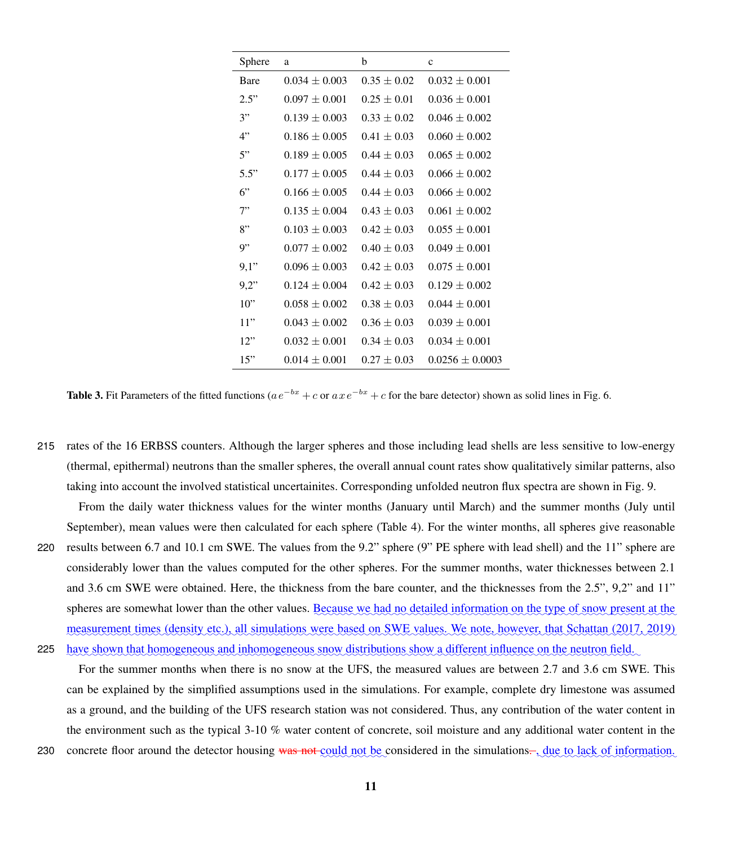<span id="page-10-0"></span>

| Sphere      | a               | b               | $\mathbf c$       |
|-------------|-----------------|-----------------|-------------------|
| <b>Bare</b> | $0.034 + 0.003$ | $0.35 + 0.02$   | $0.032 + 0.001$   |
| 2.5"        | $0.097 + 0.001$ | $0.25 + 0.01$   | $0.036 + 0.001$   |
| 3"          | $0.139 + 0.003$ | $0.33 + 0.02$   | $0.046 + 0.002$   |
| 4"          | $0.186 + 0.005$ | $0.41 + 0.03$   | $0.060 + 0.002$   |
| 5"          | $0.189 + 0.005$ | $0.44 + 0.03$   | $0.065 + 0.002$   |
| 5.5"        | $0.177 + 0.005$ | $0.44 + 0.03$   | $0.066 \pm 0.002$ |
| 6"          | $0.166 + 0.005$ | $0.44 + 0.03$   | $0.066 + 0.002$   |
| 7"          | $0.135 + 0.004$ | $0.43 + 0.03$   | $0.061 + 0.002$   |
| 8"          | $0.103 + 0.003$ | $0.42 + 0.03$   | $0.055 + 0.001$   |
| 9"          | $0.077 + 0.002$ | $0.40 \pm 0.03$ | $0.049 + 0.001$   |
| 9,1"        | $0.096 + 0.003$ | $0.42 \pm 0.03$ | $0.075 + 0.001$   |
| 9.2"        | $0.124 + 0.004$ | $0.42 + 0.03$   | $0.129 + 0.002$   |
| 10"         | $0.058 + 0.002$ | $0.38 + 0.03$   | $0.044 + 0.001$   |
| 11"         | $0.043 + 0.002$ | $0.36 + 0.03$   | $0.039 + 0.001$   |
| 12"         | $0.032 + 0.001$ | $0.34 + 0.03$   | $0.034 + 0.001$   |
| 15"         | $0.014 + 0.001$ | $0.27 + 0.03$   | $0.0256 + 0.0003$ |

**Table 3.** Fit Parameters of the fitted functions ( $ae^{-bx} + c$  or  $axe^{-bx} + c$  for the bare detector) shown as solid lines in Fig. [6.](#page-9-0)

215 rates of the 16 ERBSS counters. Although the larger spheres and those including lead shells are less sensitive to low-energy (thermal, epithermal) neutrons than the smaller spheres, the overall annual count rates show qualitatively similar patterns, also taking into account the involved statistical uncertainites. Corresponding unfolded neutron flux spectra are shown in Fig. [9.](#page-12-1)

From the daily water thickness values for the winter months (January until March) and the summer months (July until September), mean values were then calculated for each sphere (Table [4\)](#page-13-0). For the winter months, all spheres give reasonable 220 results between 6.7 and 10.1 cm SWE. The values from the 9.2" sphere (9" PE sphere with lead shell) and the 11" sphere are considerably lower than the values computed for the other spheres. For the summer months, water thicknesses between 2.1 and 3.6 cm SWE were obtained. Here, the thickness from the bare counter, and the thicknesses from the 2.5", 9,2" and 11" spheres are somewhat lower than the other values. <u>Because we had no detailed information on the type of snow present at the</u> measurement times (density etc.), all simulations were based on SWE values. We note, however, that Schattan (2017, 2019)

have shown that homogeneous and inhomogeneous snow distributions show a different influence on the neutron field. 225

For the summer months when there is no snow at the UFS, the measured values are between 2.7 and 3.6 cm SWE. This can be explained by the simplified assumptions used in the simulations. For example, complete dry limestone was assumed as a ground, and the building of the UFS research station was not considered. Thus, any contribution of the water content in the environment such as the typical 3-10 % water content of concrete, soil moisture and any additional water content in the 230 concrete floor around the detector housing was not could not be considered in the simulations. , due to lack of information.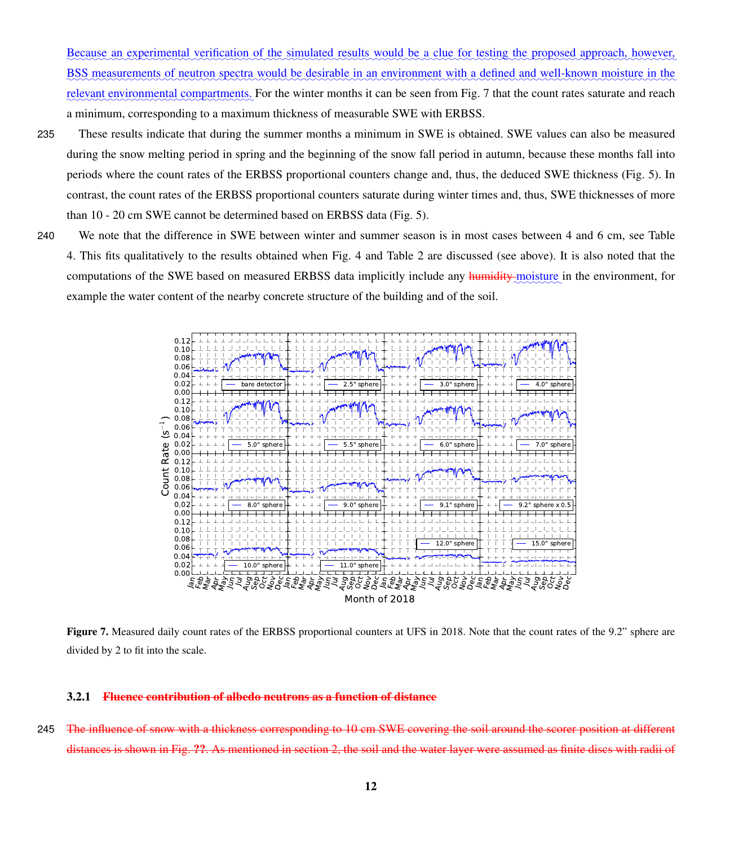Because an experimental verification of the simulated results would be a clue for testing the proposed approach, however, BSS measurements of neutron spectra would be desirable in an environment with a defined and well-known moisture in the relevant environmental compartments. For the winter months it can be seen from Fig. [7](#page-11-0) that the count rates saturate and reach a minimum, corresponding to a maximum thickness of measurable SWE with ERBSS.

235 These results indicate that during the summer months a minimum in SWE is obtained. SWE values can also be measured during the snow melting period in spring and the beginning of the snow fall period in autumn, because these months fall into periods where the count rates of the ERBSS proportional counters change and, thus, the deduced SWE thickness (Fig. [5\)](#page-8-0). In contrast, the count rates of the ERBSS proportional counters saturate during winter times and, thus, SWE thicknesses of more than 10 - 20 cm SWE cannot be determined based on ERBSS data (Fig. [5\)](#page-8-0).

240 We note that the difference in SWE between winter and summer season is in most cases between 4 and 6 cm, see Table [4.](#page-13-0) This fits qualitatively to the results obtained when Fig. [4](#page-7-1) and Table [2](#page-8-1) are discussed (see above). It is also noted that the computations of the SWE based on measured ERBSS data implicitly include any humidity moisture in the environment, for example the water content of the nearby concrete structure of the building and of the soil.

<span id="page-11-0"></span>

Figure 7. Measured daily count rates of the ERBSS proportional counters at UFS in 2018. Note that the count rates of the 9.2" sphere are divided by 2 to fit into the scale.

# 3.2.1 Fluence contribution of albedo neutrons as a function of distance

245 The influence of snow with a thickness corresponding to 10 cm SWE covering the soil around the scorer position at distances is shown in Fig. ??. As mentioned in section 2, the soil and the water layer were assumed as finite discs with radii of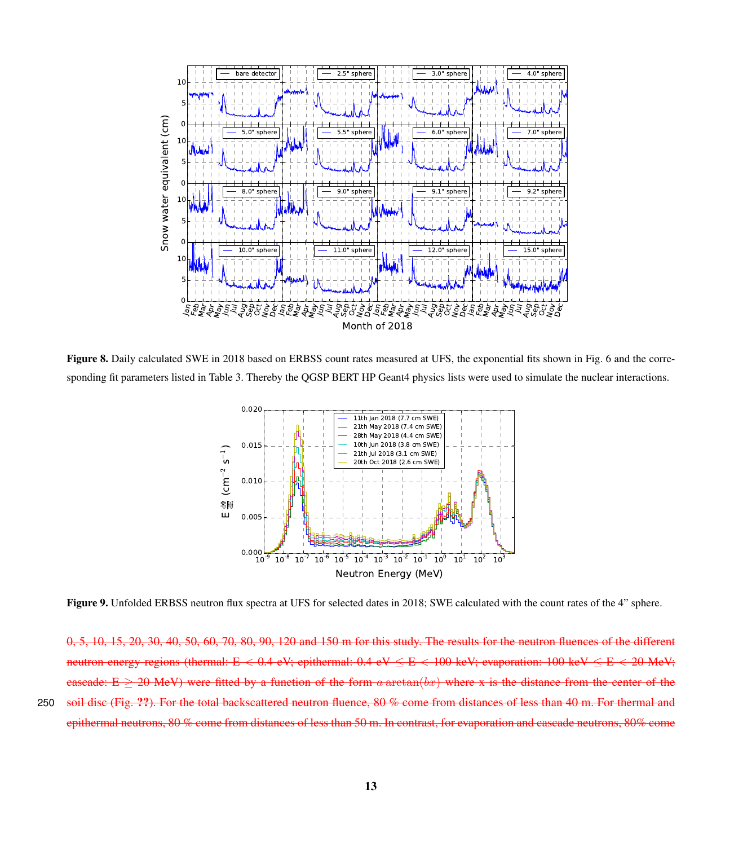<span id="page-12-0"></span>

<span id="page-12-1"></span>Figure 8. Daily calculated SWE in 2018 based on ERBSS count rates measured at UFS, the exponential fits shown in Fig. [6](#page-9-0) and the corresponding fit parameters listed in Table [3.](#page-10-0) Thereby the QGSP BERT HP Geant4 physics lists were used to simulate the nuclear interactions.



Figure 9. Unfolded ERBSS neutron flux spectra at UFS for selected dates in 2018; SWE calculated with the count rates of the 4" sphere.

0, 5, 10, 15, 20, 30, 40, 50, 60, 70, 80, 90, 120 and 150 m for this study. The results for the neutron fluences of the different neutron energy regions (thermal: E < 0.4 eV; epithermal:  $0.4 \text{ eV} \leq E < 100 \text{ keV}$ ; evaporation:  $100 \text{ keV} \leq E < 20 \text{ MeV}$ ; cascade: E  $\geq$  20 MeV) were fitted by a function of the form a arctan(bx) where x is the distance from the center of the 250 soil disc (Fig. ??). For the total backscattered neutron fluence, 80 % come from distances of less than 40 m. For thermal and epithermal neutrons, 80 % come from distances of less than 50 m. In contrast, for evaporation and cascade neutrons, 80% come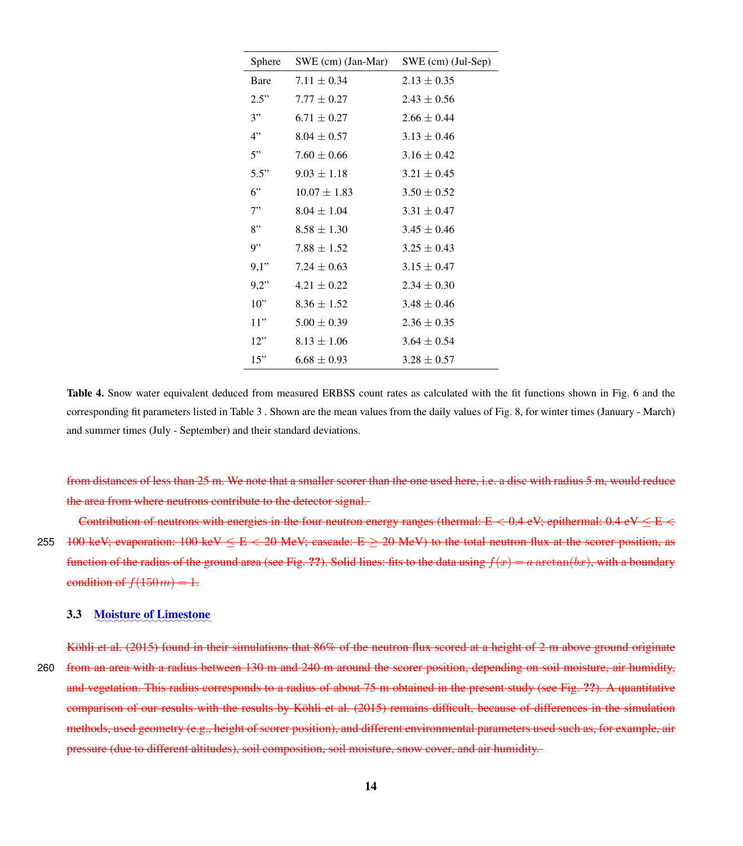<span id="page-13-0"></span>

| Sphere | SWE (cm) (Jan-Mar) | $SWE$ (cm) (Jul-Sep) |
|--------|--------------------|----------------------|
| Bare   | $7.11 \pm 0.34$    | $2.13 \pm 0.35$      |
| 2.5"   | $7.77 + 0.27$      | $2.43 \pm 0.56$      |
| 3"     | $6.71 \pm 0.27$    | $2.66 + 0.44$        |
| 4"     | $8.04 + 0.57$      | $3.13 \pm 0.46$      |
| 5"     | $7.60 \pm 0.66$    | $3.16 \pm 0.42$      |
| 5.5"   | $9.03 \pm 1.18$    | $3.21 \pm 0.45$      |
| 6"     | $10.07 + 1.83$     | $3.50 \pm 0.52$      |
| 7"     | $8.04 \pm 1.04$    | $3.31 \pm 0.47$      |
| 8"     | $8.58 \pm 1.30$    | $3.45 \pm 0.46$      |
| 9"     | $7.88 + 1.52$      | $3.25 \pm 0.43$      |
| 9,1"   | $7.24 \pm 0.63$    | $3.15 \pm 0.47$      |
| 9.2"   | $4.21 \pm 0.22$    | $2.34 + 0.30$        |
| 10"    | $8.36 + 1.52$      | $3.48 + 0.46$        |
| 11"    | $5.00 \pm 0.39$    | $2.36 \pm 0.35$      |
| 12"    | $8.13 \pm 1.06$    | $3.64 + 0.54$        |
| 15"    | $6.68 + 0.93$      | $3.28 + 0.57$        |

Table 4. Snow water equivalent deduced from measured ERBSS count rates as calculated with the fit functions shown in Fig. [6](#page-9-0) and the corresponding fit parameters listed in Table [3](#page-10-0) . Shown are the mean values from the daily values of Fig. [8,](#page-12-0) for winter times (January - March) and summer times (July - September) and their standard deviations.

from distances of less than 25 m. We note that a smaller scorer than the one used here, i.e. a disc with radius 5 m, would reduce the area from where neutrons contribute to the detector signal.

Contribution of neutrons with energies in the four neutron energy ranges (thermal:  $E < 0.4$  eV; epithermal:  $0.4$  eV  $\le E <$ 255 100 keV; evaporation:  $100 \text{ keV} \leq E < 20 \text{ MeV}$ ; cascade:  $E \geq 20 \text{ MeV}$ ) to the total neutron flux at the scorer position, as function of the radius of the ground area (see Fig. ??). Solid lines: fits to the data using  $f(x) = a \arctan(bx)$ , with a boundary condition of  $f(150m) = 1$ .

# 3.3 Moisture of Limestone

Köhli et al. (2015) found in their simulations that 86% of the neutron flux scored at a height of 2 m above ground originate 260 from an area with a radius between 130 m and 240 m around the scorer position, depending on soil moisture, air humidity, and vegetation. This radius corresponds to a radius of about 75 m obtained in the present study (see Fig. ??). A quantitative comparison of our results with the results by Köhli et al. (2015) remains difficult, because of differences in the simulation methods, used geometry (e.g., height of scorer position), and different environmental parameters used such as, for example, air pressure (due to different altitudes), soil composition, soil moisture, snow cover, and air humidity.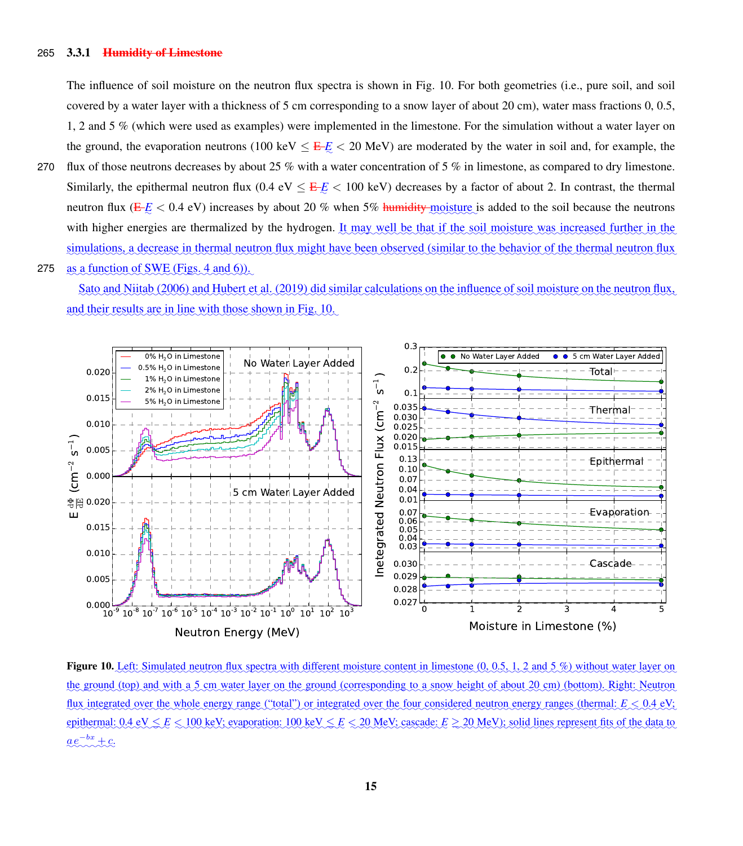#### 265 3.3.1 Humidity of Limestone

The influence of soil moisture on the neutron flux spectra is shown in Fig. [10.](#page-14-0) For both geometries (i.e., pure soil, and soil covered by a water layer with a thickness of 5 cm corresponding to a snow layer of about 20 cm), water mass fractions 0, 0.5, 1, 2 and 5 % (which were used as examples) were implemented in the limestone. For the simulation without a water layer on the ground, the evaporation neutrons (100 keV  $\leq$   $E/E$   $<$  20 MeV) are moderated by the water in soil and, for example, the

- 270 flux of those neutrons decreases by about 25 % with a water concentration of 5 % in limestone, as compared to dry limestone. Similarly, the epithermal neutron flux ( $0.4 \text{ eV} \leq E/E < 100 \text{ keV}$ ) decreases by a factor of about 2. In contrast, the thermal neutron flux ( $E/E < 0.4$  eV) increases by about 20 % when 5% humidity-moisture is added to the soil because the neutrons with higher energies are thermalized by the hydrogen. It may well be that if the soil moisture was increased further in the simulations, a decrease in thermal neutron flux might have been observed (similar to the behavior of the thermal neutron flux
- as a function of SWE (Figs. [4](#page-7-1) and [6\)](#page-9-0)). 275

[Sato and Niitab](#page-18-4) [\(2006\)](#page-18-4) and [Hubert et al.](#page-17-18) [\(2019\)](#page-17-18) did similar calculations on the influence of soil moisture on the neutron flux, and their results are in line with those shown in Fig. [10.](#page-14-0)

<span id="page-14-0"></span>

Figure 10. Left: Simulated neutron flux spectra with different moisture content in limestone (0, 0.5, 1, 2 and 5 %) without water layer on the ground (top) and with a 5 cm water layer on the ground (corresponding to a snow height of about 20 cm) (bottom). Right: Neutron flux integrated over the whole energy range ("total") or integrated over the four considered neutron energy ranges (thermal:  $E \le 0.4$  eV; epithermal:  $0.4 \text{ eV} \leq E \leq 100 \text{ keV}$ ; evaporation:  $100 \text{ keV} \leq E \leq 20 \text{ MeV}$ ; cascade:  $E \geq 20 \text{ MeV}$ ); solid lines represent fits of the data to  $a e^{-bx} + c.$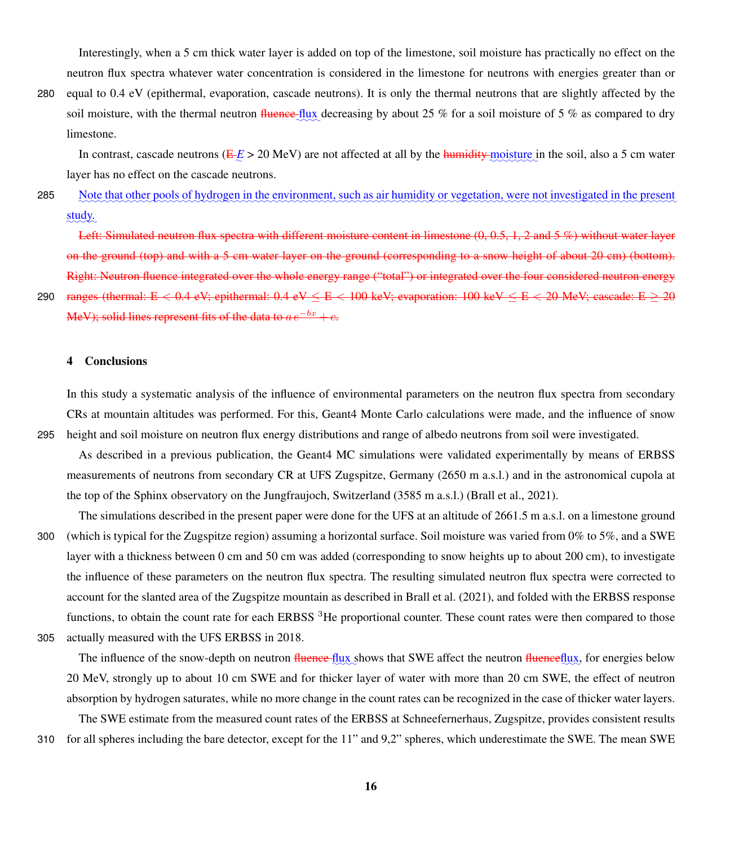Interestingly, when a 5 cm thick water layer is added on top of the limestone, soil moisture has practically no effect on the neutron flux spectra whatever water concentration is considered in the limestone for neutrons with energies greater than or

280 equal to 0.4 eV (epithermal, evaporation, cascade neutrons). It is only the thermal neutrons that are slightly affected by the soil moisture, with the thermal neutron fluence flux decreasing by about 25 % for a soil moisture of 5 % as compared to dry limestone.

In contrast, cascade neutrons ( $E/E > 20$  MeV) are not affected at all by the humidity moisture in the soil, also a 5 cm water layer has no effect on the cascade neutrons.

285 Note that other pools of hydrogen in the environment, such as air humidity or vegetation, were not investigated in the present study.

Left: Simulated neutron flux spectra with different moisture content in limestone  $(0, 0.5, 1, 2$  and 5 %) without water layer on the ground (top) and with a 5 cm water layer on the ground (corresponding to a snow height of about 20 cm) (bottom). Right: Neutron fluence integrated over the whole energy range ("total") or integrated over the four considered neutron energy

290 ranges (thermal:  $E < 0.4$  eV; epithermal:  $0.4$  eV  $\le E < 100$  keV; evaporation:  $100$  keV  $\le E < 20$  MeV; cascade:  $E > 20$ MeV); solid lines represent fits of the data to  $ae^{-bx}+c$ .

# 4 Conclusions

In this study a systematic analysis of the influence of environmental parameters on the neutron flux spectra from secondary CRs at mountain altitudes was performed. For this, Geant4 Monte Carlo calculations were made, and the influence of snow 295 height and soil moisture on neutron flux energy distributions and range of albedo neutrons from soil were investigated.

As described in a previous publication, the Geant4 MC simulations were validated experimentally by means of ERBSS measurements of neutrons from secondary CR at UFS Zugspitze, Germany (2650 m a.s.l.) and in the astronomical cupola at the top of the Sphinx observatory on the Jungfraujoch, Switzerland (3585 m a.s.l.) [\(Brall et al., 2021\)](#page-17-12).

The simulations described in the present paper were done for the UFS at an altitude of 2661.5 m a.s.l. on a limestone ground 300 (which is typical for the Zugspitze region) assuming a horizontal surface. Soil moisture was varied from 0% to 5%, and a SWE layer with a thickness between 0 cm and 50 cm was added (corresponding to snow heights up to about 200 cm), to investigate the influence of these parameters on the neutron flux spectra. The resulting simulated neutron flux spectra were corrected to account for the slanted area of the Zugspitze mountain as described in [Brall et al.](#page-17-12) [\(2021\)](#page-17-12), and folded with the ERBSS response functions, to obtain the count rate for each ERBSS  ${}^{3}$ He proportional counter. These count rates were then compared to those 305 actually measured with the UFS ERBSS in 2018.

The influence of the snow-depth on neutron fluence flux shows that SWE affect the neutron fluenceflux, for energies below 20 MeV, strongly up to about 10 cm SWE and for thicker layer of water with more than 20 cm SWE, the effect of neutron absorption by hydrogen saturates, while no more change in the count rates can be recognized in the case of thicker water layers.

The SWE estimate from the measured count rates of the ERBSS at Schneefernerhaus, Zugspitze, provides consistent results 310 for all spheres including the bare detector, except for the 11" and 9,2" spheres, which underestimate the SWE. The mean SWE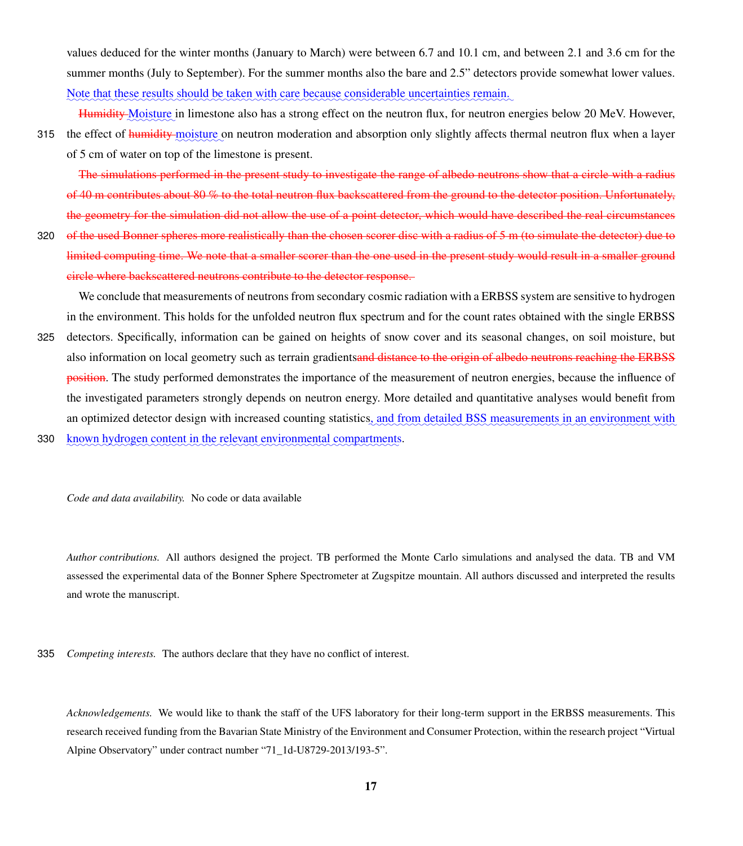values deduced for the winter months (January to March) were between 6.7 and 10.1 cm, and between 2.1 and 3.6 cm for the summer months (July to September). For the summer months also the bare and 2.5" detectors provide somewhat lower values. Note that these results should be taken with care because considerable uncertainties remain.

Humidity Moisture in limestone also has a strong effect on the neutron flux, for neutron energies below 20 MeV. However,

315 the effect of <del>humidity moisture</del> on neutron moderation and absorption only slightly affects thermal neutron flux when a layer of 5 cm of water on top of the limestone is present.

The simulations performed in the present study to investigate the range of albedo neutrons show that a circle with a radius of 40 m contributes about 80 % to the total neutron flux backscattered from the ground to the detector position. Unfortunately, the geometry for the simulation did not allow the use of a point detector, which would have described the real circumstances

320 of the used Bonner spheres more realistically than the chosen scorer disc with a radius of 5 m (to simulate the detector) due to limited computing time. We note that a smaller scorer than the one used in the present study would result in a smaller ground circle where backscattered neutrons contribute to the detector response.

We conclude that measurements of neutrons from secondary cosmic radiation with a ERBSS system are sensitive to hydrogen in the environment. This holds for the unfolded neutron flux spectrum and for the count rates obtained with the single ERBSS

- 325 detectors. Specifically, information can be gained on heights of snow cover and its seasonal changes, on soil moisture, but also information on local geometry such as terrain gradientsand distance to the origin of albedo neutrons reaching the ERBSS position. The study performed demonstrates the importance of the measurement of neutron energies, because the influence of the investigated parameters strongly depends on neutron energy. More detailed and quantitative analyses would benefit from an optimized detector design with increased counting statistics, and from detailed BSS measurements in an environment with 330 known hydrogen content in the relevant environmental compartments.
	- *Code and data availability.* No code or data available

*Author contributions.* All authors designed the project. TB performed the Monte Carlo simulations and analysed the data. TB and VM assessed the experimental data of the Bonner Sphere Spectrometer at Zugspitze mountain. All authors discussed and interpreted the results and wrote the manuscript.

335 *Competing interests.* The authors declare that they have no conflict of interest.

*Acknowledgements.* We would like to thank the staff of the UFS laboratory for their long-term support in the ERBSS measurements. This research received funding from the Bavarian State Ministry of the Environment and Consumer Protection, within the research project "Virtual Alpine Observatory" under contract number "71\_1d-U8729-2013/193-5".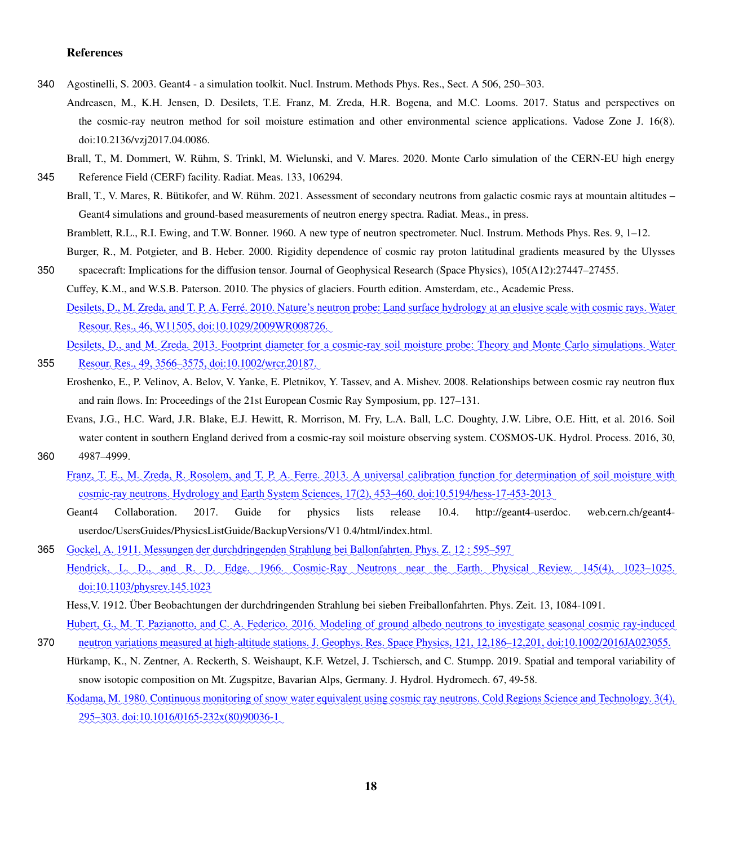# References

- <span id="page-17-8"></span><span id="page-17-3"></span>340 Agostinelli, S. 2003. Geant4 - a simulation toolkit. Nucl. Instrum. Methods Phys. Res., Sect. A 506, 250–303.
	- Andreasen, M., K.H. Jensen, D. Desilets, T.E. Franz, M. Zreda, H.R. Bogena, and M.C. Looms. 2017. Status and perspectives on the cosmic-ray neutron method for soil moisture estimation and other environmental science applications. Vadose Zone J. 16(8). doi:10.2136/vzj2017.04.0086.
	- Brall, T., M. Dommert, W. Rühm, S. Trinkl, M. Wielunski, and V. Mares. 2020. Monte Carlo simulation of the CERN-EU high energy
- <span id="page-17-17"></span><span id="page-17-12"></span>345 Reference Field (CERF) facility. Radiat. Meas. 133, 106294.

<span id="page-17-6"></span><span id="page-17-0"></span>355

Brall, T., V. Mares, R. Bütikofer, and W. Rühm. 2021. Assessment of secondary neutrons from galactic cosmic rays at mountain altitudes – Geant4 simulations and ground-based measurements of neutron energy spectra. Radiat. Meas., in press.

Bramblett, R.L., R.I. Ewing, and T.W. Bonner. 1960. A new type of neutron spectrometer. Nucl. Instrum. Methods Phys. Res. 9, 1–12.

<span id="page-17-14"></span><span id="page-17-11"></span>Burger, R., M. Potgieter, and B. Heber. 2000. Rigidity dependence of cosmic ray proton latitudinal gradients measured by the Ulysses 350 spacecraft: Implications for the diffusion tensor. Journal of Geophysical Research (Space Physics), 105(A12):27447–27455.

<span id="page-17-16"></span><span id="page-17-4"></span>Cuffey, K.M., and W.S.B. Paterson. 2010. The physics of glaciers. Fourth edition. Amsterdam, etc., Academic Press.

Desilets, D., M. Zreda, and T. P. A. Ferré. 2010. Nature's neutron probe: Land surface hydrology at an elusive scale with cosmic rays. Water Resour. Res., 46, W11505, doi:10.1029/2009WR008726.

Desilets, D., and M. Zreda. 2013. Footprint diameter for a cosmic-ray soil moisture probe: Theory and Monte Carlo simulations. Water Resour. Res., 49, 3566–3575, doi:10.1002/wrcr.20187.

- Eroshenko, E., P. Velinov, A. Belov, V. Yanke, E. Pletnikov, Y. Tassev, and A. Mishev. 2008. Relationships between cosmic ray neutron flux and rain flows. In: Proceedings of the 21st European Cosmic Ray Symposium, pp. 127–131.
- <span id="page-17-7"></span><span id="page-17-5"></span>Evans, J.G., H.C. Ward, J.R. Blake, E.J. Hewitt, R. Morrison, M. Fry, L.A. Ball, L.C. Doughty, J.W. Libre, O.E. Hitt, et al. 2016. Soil water content in southern England derived from a cosmic-ray soil moisture observing system. COSMOS-UK. Hydrol. Process. 2016, 30, 360 4987–4999.
	- Franz, T. E., M. Zreda, R. Rosolem, and T. P. A. Ferre. 2013. A universal calibration function for determination of soil moisture with cosmic-ray neutrons. Hydrology and Earth System Sciences, 17(2), 453–460. doi:10.5194/hess-17-453-2013
		- Geant4 Collaboration. 2017. Guide for physics lists release 10.4. http://geant4-userdoc. web.cern.ch/geant4 userdoc/UsersGuides/PhysicsListGuide/BackupVersions/V1 0.4/html/index.html.
- <span id="page-17-13"></span><span id="page-17-10"></span><span id="page-17-2"></span>365 Gockel, A. 1911. Messungen der durchdringenden Strahlung bei Ballonfahrten. Phys. Z. 12: 595–597 Hendrick, L. D., and R. D. Edge. 1966. Cosmic-Ray Neutrons near the Earth. Physical Review. 145(4), 1023–1025. doi:10.1103/physrev.145.1023

<span id="page-17-18"></span><span id="page-17-9"></span>Hubert, G., M. T. Pazianotto, and C. A. Federico. 2016. Modeling of ground albedo neutrons to investigate seasonal cosmic ray-induced 370 neutron variations measured at high-altitude stations. J. Geophys. Res. Space Physics, 121, 12,186–12,201, doi:10.1002/2016JA023055.

<span id="page-17-15"></span>Hürkamp, K., N. Zentner, A. Reckerth, S. Weishaupt, K.F. Wetzel, J. Tschiersch, and C. Stumpp. 2019. Spatial and temporal variability of snow isotopic composition on Mt. Zugspitze, Bavarian Alps, Germany. J. Hydrol. Hydromech. 67, 49-58.

<span id="page-17-1"></span>Kodama, M. 1980. Continuous monitoring of snow water equivalent using cosmic ray neutrons. Cold Regions Science and Technology. 3(4),  $295-303.$  doi:10.1016/0165-232x(80)90036-1

Hess,V. 1912. Über Beobachtungen der durchdringenden Strahlung bei sieben Freiballonfahrten. Phys. Zeit. 13, 1084-1091.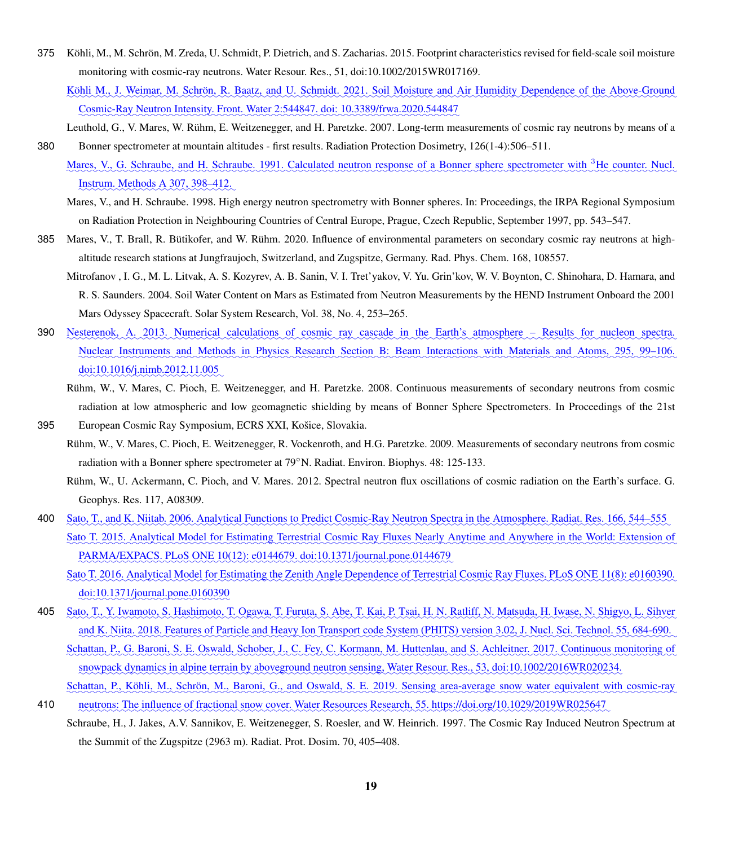- <span id="page-18-3"></span><span id="page-18-2"></span>375 Köhli, M., M. Schrön, M. Zreda, U. Schmidt, P. Dietrich, and S. Zacharias. 2015. Footprint characteristics revised for field-scale soil moisture monitoring with cosmic-ray neutrons. Water Resour. Res., 51, doi:10.1002/2015WR017169.
	- <u>Köhli M., J. Weimar, M. Schrön, R. Baatz, and U. Schmidt. 2021. Soil Moisture and Air Humidity Dependence of the Above-Ground</u> Cosmic-Ray Neutron Intensity. Front. Water 2:544847. doi: 10.3389/frwa.2020.544847
- <span id="page-18-14"></span><span id="page-18-11"></span>Leuthold, G., V. Mares, W. Rühm, E. Weitzenegger, and H. Paretzke. 2007. Long-term measurements of cosmic ray neutrons by means of a 380 Bonner spectrometer at mountain altitudes - first results. Radiation Protection Dosimetry, 126(1-4):506–511.
	- Mares, V., G. Schraube, and H. Schraube. 1991. Calculated neutron response of a Bonner sphere spectrometer with <sup>3</sup>He counter. Nucl. Instrum. Methods A 307, 398–412.
	- Mares, V., and H. Schraube. 1998. High energy neutron spectrometry with Bonner spheres. In: Proceedings, the IRPA Regional Symposium on Radiation Protection in Neighbouring Countries of Central Europe, Prague, Czech Republic, September 1997, pp. 543–547.
- <span id="page-18-13"></span><span id="page-18-10"></span><span id="page-18-1"></span>385 Mares, V., T. Brall, R. Bütikofer, and W. Rühm. 2020. Influence of environmental parameters on secondary cosmic ray neutrons at highaltitude research stations at Jungfraujoch, Switzerland, and Zugspitze, Germany. Rad. Phys. Chem. 168, 108557.
	- Mitrofanov , I. G., M. L. Litvak, A. S. Kozyrev, A. B. Sanin, V. I. Tret'yakov, V. Yu. Grin'kov, W. V. Boynton, C. Shinohara, D. Hamara, and R. S. Saunders. 2004. Soil Water Content on Mars as Estimated from Neutron Measurements by the HEND Instrument Onboard the 2001 Mars Odyssey Spacecraft. Solar System Research, Vol. 38, No. 4, 253–265.
- <span id="page-18-12"></span><span id="page-18-8"></span>390 Nesterenok, A. 2013. Numerical calculations of cosmic ray cascade in the Earth's atmosphere – Results for nucleon spectra. Nuclear Instruments and Methods in Physics Research Section B: Beam Interactions with Materials and Atoms, 295, 99–106. <u>doi:10.1016/j.nimb.2012.11.005</u>
	- Rühm, W., V. Mares, C. Pioch, E. Weitzenegger, and H. Paretzke. 2008. Continuous measurements of secondary neutrons from cosmic radiation at low atmospheric and low geomagnetic shielding by means of Bonner Sphere Spectrometers. In Proceedings of the 21st
- <span id="page-18-0"></span>395 European Cosmic Ray Symposium, ECRS XXI, Košice, Slovakia. Rühm, W., V. Mares, C. Pioch, E. Weitzenegger, R. Vockenroth, and H.G. Paretzke. 2009. Measurements of secondary neutrons from cosmic
	- radiation with a Bonner sphere spectrometer at 79◦N. Radiat. Environ. Biophys. 48: 125-133.
	- Rühm, W., U. Ackermann, C. Pioch, and V. Mares. 2012. Spectral neutron flux oscillations of cosmic radiation on the Earth's surface. G. Geophys. Res. 117, A08309.
- <span id="page-18-6"></span><span id="page-18-5"></span><span id="page-18-4"></span>Sato, T., and K. Niitab. 2006. Analytical Functions to Predict Cosmic-Ray Neutron Spectra in the Atmosphere. Radiat. Res. 166, 544–555 400 Sato T. 2015. Analytical Model for Estimating Terrestrial Cosmic Ray Fluxes Nearly Anytime and Anywhere in the World: Extension of PARMA/EXPACS. PLoS ONE 10(12): e0144679. doi:10.1371/journal.pone.0144679.
	- Sato T. 2016. Analytical Model for Estimating the Zenith Angle Dependence of Terrestrial Cosmic Ray Fluxes. PLoS ONE 11(8): e0160390. ✿✿✿✿✿✿✿✿✿✿✿✿✿✿✿✿✿✿✿✿✿✿✿✿✿ doi:10.1371/journal.pone.0160390
- <span id="page-18-7"></span>405 Sato, T., Y. Iwamoto, S. Hashimoto, T. Ogawa, T. Furuta, S. Abe, T. Kai, P. Tsai, H. N. Ratliff, N. Matsuda, H. Iwase, N. Shigyo, L. Sihver and K. Niita. 2018. Features of Particle and Heavy Ion Transport code System (PHITS) version 3.02, J. Nucl. Sci. Technol. 55, 684-690.
	- Schattan, P., G. Baroni, S. E. Oswald, Schober, J., C. Fey, C. Kormann, M. Huttenlau, and S. Achleitner. 2017. Continuous monitoring of snowpack dynamics in alpine terrain by aboveground neutron sensing, Water Resour. Res., 53, doi:10.1002/2016WR020234.
- Schattan, P., Köhli, M., Schrön, M., Baroni, G., and Oswald, S. E. 2019. Sensing area-average snow water equivalent with cosmic-ray neutrons: The influence of fractional snow cover. Water Resources Research, 55. https://doi.org/10.1029/2019WR025647 410
- <span id="page-18-9"></span>Schraube, H., J. Jakes, A.V. Sannikov, E. Weitzenegger, S. Roesler, and W. Heinrich. 1997. The Cosmic Ray Induced Neutron Spectrum at the Summit of the Zugspitze (2963 m). Radiat. Prot. Dosim. 70, 405–408.